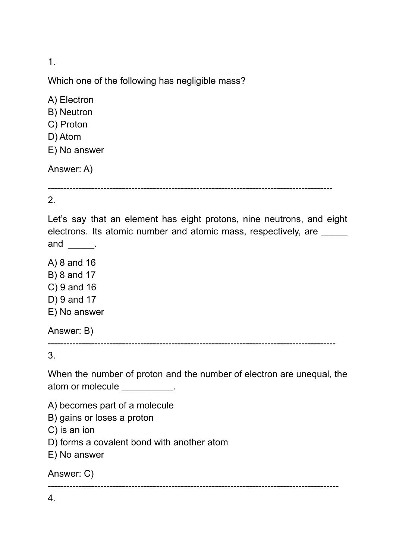1.

Which one of the following has negligible mass?

A) Electron

- B) Neutron
- C) Proton
- D) Atom

E) No answer

Answer: A)

--------------------------------------------------------------------------------------------

## 2.

Let's say that an element has eight protons, nine neutrons, and eight electrons. Its atomic number and atomic mass, respectively, are and \_\_\_\_\_.

A) 8 and 16

- B) 8 and 17
- C) 9 and 16
- D) 9 and 17
- E) No answer

Answer: B)

3.

When the number of proton and the number of electron are unequal, the atom or molecule \_\_\_\_\_\_\_\_\_\_\_.

---------------------------------------------------------------------------------------------

A) becomes part of a molecule

B) gains or loses a proton

C) is an ion

D) forms a covalent bond with another atom

E) No answer

Answer: C)

----------------------------------------------------------------------------------------------

4.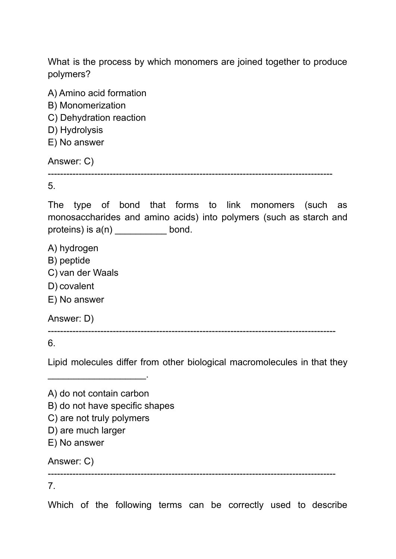What is the process by which monomers are joined together to produce polymers?

A) Amino acid formation

- B) Monomerization
- C) Dehydration reaction
- D) Hydrolysis
- E) No answer

Answer: C)

5.

The type of bond that forms to link monomers (such as monosaccharides and amino acids) into polymers (such as starch and proteins) is  $a(n)$  \_\_\_\_\_\_\_\_\_\_\_ bond.

--------------------------------------------------------------------------------------------

A) hydrogen

- B) peptide
- C) van der Waals
- D) covalent
- E) No answer

Answer: D)

6.

Lipid molecules differ from other biological macromolecules in that they

---------------------------------------------------------------------------------------------

A) do not contain carbon

- B) do not have specific shapes
- C) are not truly polymers
- D) are much larger
- E) No answer

Answer: C)

---------------------------------------------------------------------------------------------

7.

Which of the following terms can be correctly used to describe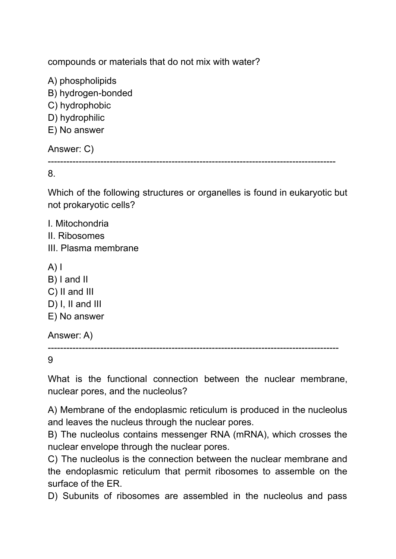compounds or materials that do not mix with water?

A) phospholipids

B) hydrogen-bonded

C) hydrophobic

D) hydrophilic

E) No answer

Answer: C)

---------------------------------------------------------------------------------------------

8.

Which of the following structures or organelles is found in eukaryotic but not prokaryotic cells?

I. Mitochondria

II. Ribosomes

III. Plasma membrane

 $A$ ) | B) I and II C) II and III D) I, II and III E) No answer

Answer: A)

----------------------------------------------------------------------------------------------

 $\mathbf{Q}$ 

What is the functional connection between the nuclear membrane, nuclear pores, and the nucleolus?

A) Membrane of the endoplasmic reticulum is produced in the nucleolus and leaves the nucleus through the nuclear pores.

B) The nucleolus contains messenger RNA (mRNA), which crosses the nuclear envelope through the nuclear pores.

C) The nucleolus is the connection between the nuclear membrane and the endoplasmic reticulum that permit ribosomes to assemble on the surface of the ER.

D) Subunits of ribosomes are assembled in the nucleolus and pass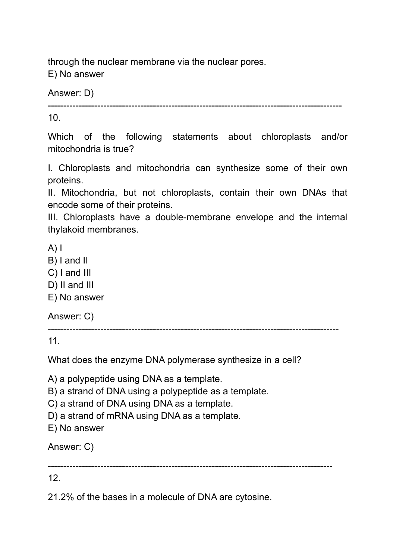through the nuclear membrane via the nuclear pores. E) No answer

Answer: D)

-----------------------------------------------------------------------------------------------

10.

Which of the following statements about chloroplasts and/or mitochondria is true?

I. Chloroplasts and mitochondria can synthesize some of their own proteins.

II. Mitochondria, but not chloroplasts, contain their own DNAs that encode some of their proteins.

III. Chloroplasts have a double-membrane envelope and the internal thylakoid membranes.

 $A$ ) |

- B) I and II
- C) I and III
- D) II and III

E) No answer

Answer: C)

----------------------------------------------------------------------------------------------

--------------------------------------------------------------------------------------------

11.

What does the enzyme DNA polymerase synthesize in a cell?

A) a polypeptide using DNA as a template.

B) a strand of DNA using a polypeptide as a template.

- C) a strand of DNA using DNA as a template.
- D) a strand of mRNA using DNA as a template.
- E) No answer

Answer: C)

12.

21.2% of the bases in a molecule of DNA are cytosine.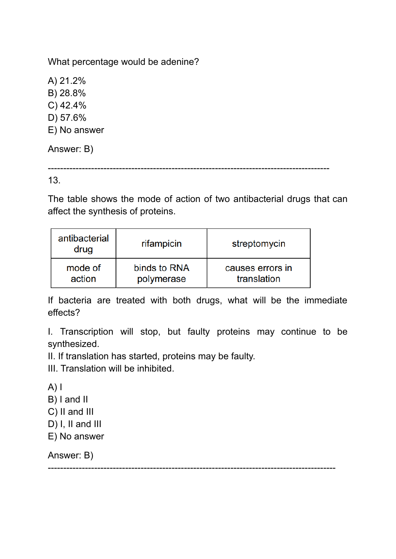What percentage would be adenine?

A) 21.2% B) 28.8% C) 42.4% D) 57.6% E) No answer

Answer: B)

-------------------------------------------------------------------------------------------

13.

The table shows the mode of action of two antibacterial drugs that can affect the synthesis of proteins.

| antibacterial<br>drug | rifampicin   | streptomycin     |
|-----------------------|--------------|------------------|
| mode of               | binds to RNA | causes errors in |
| action                | polymerase   | translation      |

If bacteria are treated with both drugs, what will be the immediate effects?

I. Transcription will stop, but faulty proteins may continue to be synthesized.

II. If translation has started, proteins may be faulty.

III. Translation will be inhibited.

 $A)$  |

- B) I and II
- C) II and III
- D) I, II and III
- E) No answer

Answer: B)

---------------------------------------------------------------------------------------------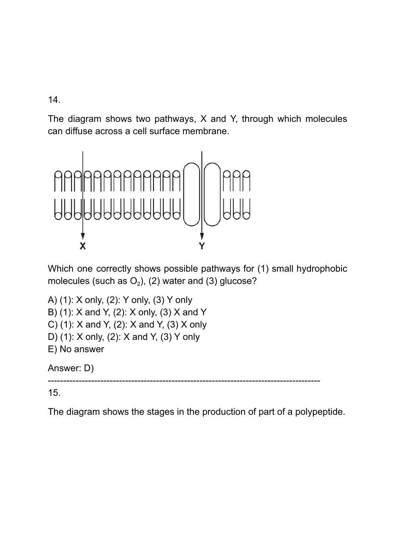14.

The diagram shows two pathways, X and Y, through which molecules can diffuse across a cell surface membrane.



Which one correctly shows possible pathways for (1) small hydrophobic molecules (such as  $O_2$ ), (2) water and (3) glucose?

```
A) (1): X only, (2): Y only, (3) Y only
B) (1): X and Y, (2): X only, (3) X and Y
C) (1): X and Y, (2): X and Y, (3) X only
D) (1): X only, (2): X and Y, (3) Y only
E) No answer
```
Answer: D)

----------------------------------------------------------------------------------------

15.

The diagram shows the stages in the production of part of a polypeptide.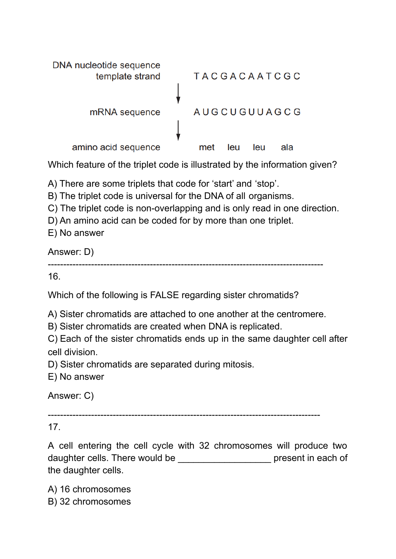

Which feature of the triplet code is illustrated by the information given?

A) There are some triplets that code for 'start' and 'stop'.

B) The triplet code is universal for the DNA of all organisms.

C) The triplet code is non-overlapping and is only read in one direction.

D) An amino acid can be coded for by more than one triplet.

E) No answer

Answer: D)

-----------------------------------------------------------------------------------------

16.

Which of the following is FALSE regarding sister chromatids?

A) Sister chromatids are attached to one another at the centromere.

B) Sister chromatids are created when DNA is replicated.

C) Each of the sister chromatids ends up in the same daughter cell after cell division.

D) Sister chromatids are separated during mitosis.

E) No answer

Answer: C)

----------------------------------------------------------------------------------------

17.

A cell entering the cell cycle with 32 chromosomes will produce two daughter cells. There would be \_\_\_\_\_\_\_\_\_\_\_\_\_\_\_\_\_\_\_\_\_\_ present in each of the daughter cells.

A) 16 chromosomes B) 32 chromosomes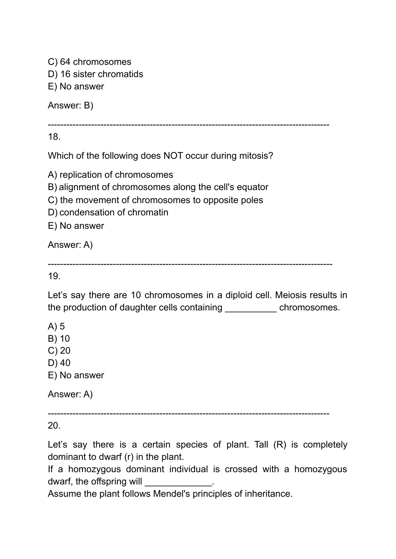C) 64 chromosomes D) 16 sister chromatids E) No answer

Answer: B)

-------------------------------------------------------------------------------------------

18.

Which of the following does NOT occur during mitosis?

A) replication of chromosomes

B) alignment of chromosomes along the cell's equator

C) the movement of chromosomes to opposite poles

D) condensation of chromatin

E) No answer

Answer: A)

--------------------------------------------------------------------------------------------

19.

Let's say there are 10 chromosomes in a diploid cell. Meiosis results in the production of daughter cells containing \_\_\_\_\_\_\_\_\_\_ chromosomes.

A) 5

B) 10

C) 20

D) 40

E) No answer

Answer: A)

-------------------------------------------------------------------------------------------

20.

Let's say there is a certain species of plant. Tall (R) is completely dominant to dwarf (r) in the plant.

If a homozygous dominant individual is crossed with a homozygous dwarf, the offspring will

Assume the plant follows Mendel's principles of inheritance.